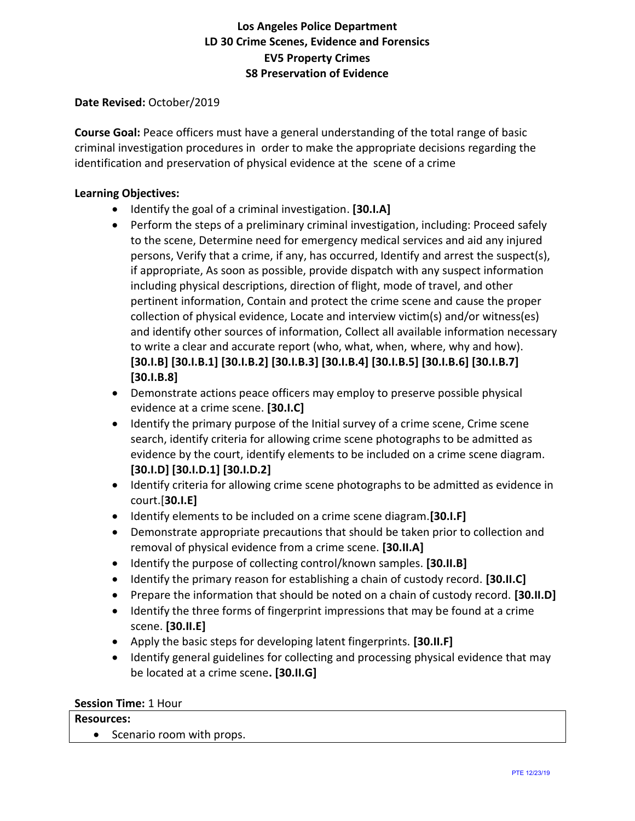#### **Date Revised:** October/2019

**Course Goal:** Peace officers must have a general understanding of the total range of basic criminal investigation procedures in order to make the appropriate decisions regarding the identification and preservation of physical evidence at the scene of a crime

#### **Learning Objectives:**

- Identify the goal of a criminal investigation. **[30.I.A]**
- Perform the steps of a preliminary criminal investigation, including: Proceed safely to the scene, Determine need for emergency medical services and aid any injured persons, Verify that a crime, if any, has occurred, Identify and arrest the suspect(s), if appropriate, As soon as possible, provide dispatch with any suspect information including physical descriptions, direction of flight, mode of travel, and other pertinent information, Contain and protect the crime scene and cause the proper collection of physical evidence, Locate and interview victim(s) and/or witness(es) and identify other sources of information, Collect all available information necessary to write a clear and accurate report (who, what, when, where, why and how). **[30.I.B] [30.I.B.1] [30.I.B.2] [30.I.B.3] [30.I.B.4] [30.I.B.5] [30.I.B.6] [30.I.B.7] [30.I.B.8]**
- Demonstrate actions peace officers may employ to preserve possible physical evidence at a crime scene. **[30.I.C]**
- Identify the primary purpose of the Initial survey of a crime scene, Crime scene search, identify criteria for allowing crime scene photographs to be admitted as evidence by the court, identify elements to be included on a crime scene diagram. **[30.I.D] [30.I.D.1] [30.I.D.2]**
- Identify criteria for allowing crime scene photographs to be admitted as evidence in court.[**30.I.E]**
- Identify elements to be included on a crime scene diagram.**[30.I.F]**
- Demonstrate appropriate precautions that should be taken prior to collection and removal of physical evidence from a crime scene. **[30.II.A]**
- Identify the purpose of collecting control/known samples. **[30.II.B]**
- Identify the primary reason for establishing a chain of custody record. **[30.II.C]**
- Prepare the information that should be noted on a chain of custody record. **[30.II.D]**
- Identify the three forms of fingerprint impressions that may be found at a crime scene. **[30.II.E]**
- Apply the basic steps for developing latent fingerprints. **[30.II.F]**
- Identify general guidelines for collecting and processing physical evidence that may be located at a crime scene**. [30.II.G]**

#### **Session Time:** 1 Hour

#### **Resources:**

• Scenario room with props.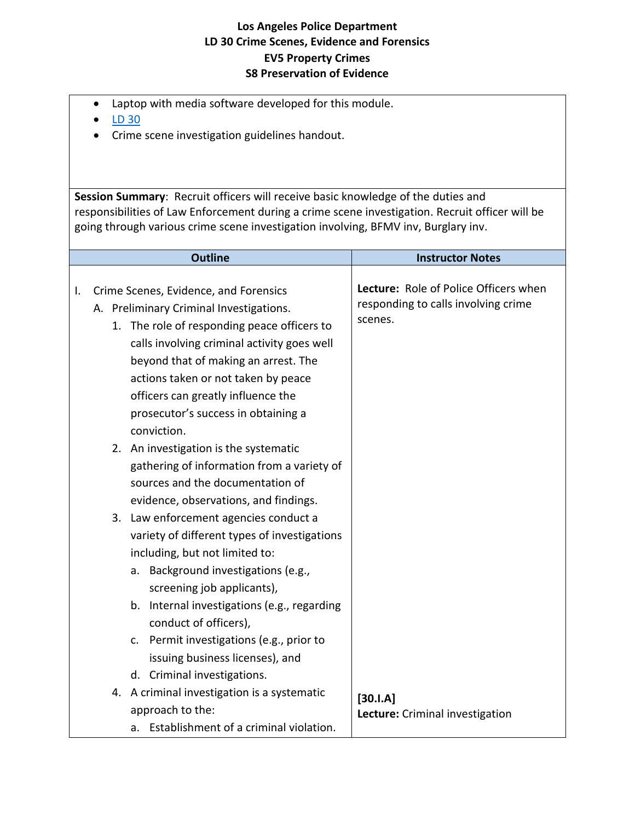- Laptop with media software developed for this module.
- [LD 30](LD_30_V-4.1.pdf)
- Crime scene investigation guidelines handout.

**Session Summary**: Recruit officers will receive basic knowledge of the duties and responsibilities of Law Enforcement during a crime scene investigation. Recruit officer will be going through various crime scene investigation involving, BFMV inv, Burglary inv.

| <b>Outline</b>                                                                                                                                                                                                                                                                                                                                                                                                                                                                                                                                                                  | <b>Instructor Notes</b>                                                                 |
|---------------------------------------------------------------------------------------------------------------------------------------------------------------------------------------------------------------------------------------------------------------------------------------------------------------------------------------------------------------------------------------------------------------------------------------------------------------------------------------------------------------------------------------------------------------------------------|-----------------------------------------------------------------------------------------|
| Crime Scenes, Evidence, and Forensics<br>I.<br>A. Preliminary Criminal Investigations.<br>1. The role of responding peace officers to<br>calls involving criminal activity goes well<br>beyond that of making an arrest. The<br>actions taken or not taken by peace<br>officers can greatly influence the<br>prosecutor's success in obtaining a<br>conviction.<br>2. An investigation is the systematic<br>gathering of information from a variety of                                                                                                                          | Lecture: Role of Police Officers when<br>responding to calls involving crime<br>scenes. |
| sources and the documentation of<br>evidence, observations, and findings.<br>3. Law enforcement agencies conduct a<br>variety of different types of investigations<br>including, but not limited to:<br>a. Background investigations (e.g.,<br>screening job applicants),<br>b. Internal investigations (e.g., regarding<br>conduct of officers),<br>c. Permit investigations (e.g., prior to<br>issuing business licenses), and<br>d. Criminal investigations.<br>4. A criminal investigation is a systematic<br>approach to the:<br>a. Establishment of a criminal violation. | $[30.1.A]$<br>Lecture: Criminal investigation                                           |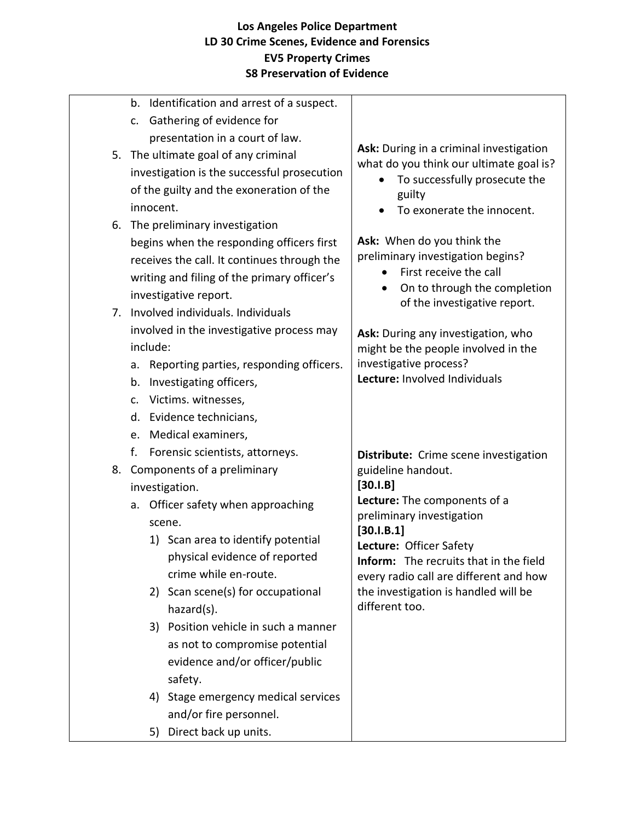|    | Identification and arrest of a suspect.<br>b. |                                                                                    |
|----|-----------------------------------------------|------------------------------------------------------------------------------------|
|    | Gathering of evidence for<br>c.               |                                                                                    |
|    | presentation in a court of law.               |                                                                                    |
|    | 5. The ultimate goal of any criminal          | Ask: During in a criminal investigation<br>what do you think our ultimate goal is? |
|    | investigation is the successful prosecution   | To successfully prosecute the                                                      |
|    | of the guilty and the exoneration of the      | guilty                                                                             |
|    | innocent.                                     | To exonerate the innocent.                                                         |
|    | 6. The preliminary investigation              |                                                                                    |
|    | begins when the responding officers first     | Ask: When do you think the                                                         |
|    | receives the call. It continues through the   | preliminary investigation begins?                                                  |
|    | writing and filing of the primary officer's   | First receive the call                                                             |
|    | investigative report.                         | On to through the completion<br>$\bullet$                                          |
| 7. | Involved individuals, Individuals             | of the investigative report.                                                       |
|    | involved in the investigative process may     | Ask: During any investigation, who                                                 |
|    | include:                                      | might be the people involved in the                                                |
|    | Reporting parties, responding officers.<br>a. | investigative process?                                                             |
|    | Investigating officers,<br>b.                 | Lecture: Involved Individuals                                                      |
|    | Victims. witnesses,<br>c.                     |                                                                                    |
|    | Evidence technicians,<br>d.                   |                                                                                    |
|    | Medical examiners,<br>e.                      |                                                                                    |
|    | f.<br>Forensic scientists, attorneys.         | Distribute: Crime scene investigation                                              |
|    | 8. Components of a preliminary                | guideline handout.                                                                 |
|    | investigation.                                | $[30.1.B]$                                                                         |
|    | Officer safety when approaching<br>a.         | Lecture: The components of a                                                       |
|    | scene.                                        | preliminary investigation<br>[30.1.B.1]                                            |
|    | 1) Scan area to identify potential            | Lecture: Officer Safety                                                            |
|    | physical evidence of reported                 | <b>Inform:</b> The recruits that in the field                                      |
|    | crime while en-route.                         | every radio call are different and how                                             |
|    | 2) Scan scene(s) for occupational             | the investigation is handled will be                                               |
|    | hazard(s).                                    | different too.                                                                     |
|    | 3) Position vehicle in such a manner          |                                                                                    |
|    | as not to compromise potential                |                                                                                    |
|    | evidence and/or officer/public                |                                                                                    |
|    | safety.                                       |                                                                                    |
|    | 4) Stage emergency medical services           |                                                                                    |
|    | and/or fire personnel.                        |                                                                                    |
|    | 5) Direct back up units.                      |                                                                                    |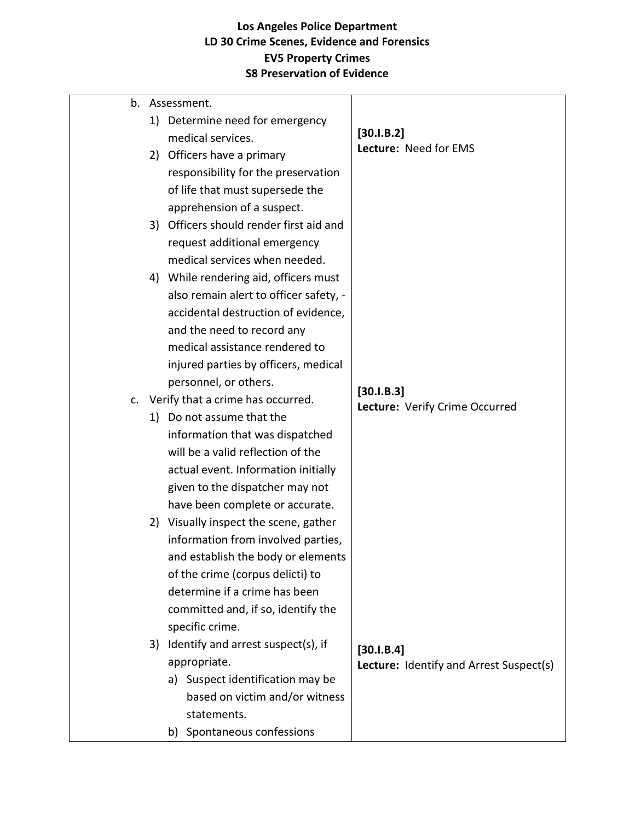|    |    | b. Assessment.                          |                                         |
|----|----|-----------------------------------------|-----------------------------------------|
|    | 1) | Determine need for emergency            |                                         |
|    |    | medical services.                       | [30.1.B.2]<br>Lecture: Need for EMS     |
|    | 2) | Officers have a primary                 |                                         |
|    |    | responsibility for the preservation     |                                         |
|    |    | of life that must supersede the         |                                         |
|    |    | apprehension of a suspect.              |                                         |
|    |    | 3) Officers should render first aid and |                                         |
|    |    | request additional emergency            |                                         |
|    |    | medical services when needed.           |                                         |
|    |    | 4) While rendering aid, officers must   |                                         |
|    |    | also remain alert to officer safety, -  |                                         |
|    |    | accidental destruction of evidence,     |                                         |
|    |    | and the need to record any              |                                         |
|    |    | medical assistance rendered to          |                                         |
|    |    | injured parties by officers, medical    |                                         |
|    |    | personnel, or others.                   | [30.1.B.3]                              |
| c. |    | Verify that a crime has occurred.       | Lecture: Verify Crime Occurred          |
|    | 1) | Do not assume that the                  |                                         |
|    |    | information that was dispatched         |                                         |
|    |    | will be a valid reflection of the       |                                         |
|    |    | actual event. Information initially     |                                         |
|    |    | given to the dispatcher may not         |                                         |
|    |    | have been complete or accurate.         |                                         |
|    |    | 2) Visually inspect the scene, gather   |                                         |
|    |    | information from involved parties,      |                                         |
|    |    | and establish the body or elements      |                                         |
|    |    | of the crime (corpus delicti) to        |                                         |
|    |    | determine if a crime has been           |                                         |
|    |    | committed and, if so, identify the      |                                         |
|    |    | specific crime.                         |                                         |
|    | 3) | Identify and arrest suspect(s), if      | [30.1.B.4]                              |
|    |    | appropriate.                            | Lecture: Identify and Arrest Suspect(s) |
|    |    | a) Suspect identification may be        |                                         |
|    |    | based on victim and/or witness          |                                         |
|    |    | statements.                             |                                         |
|    |    | Spontaneous confessions<br>b)           |                                         |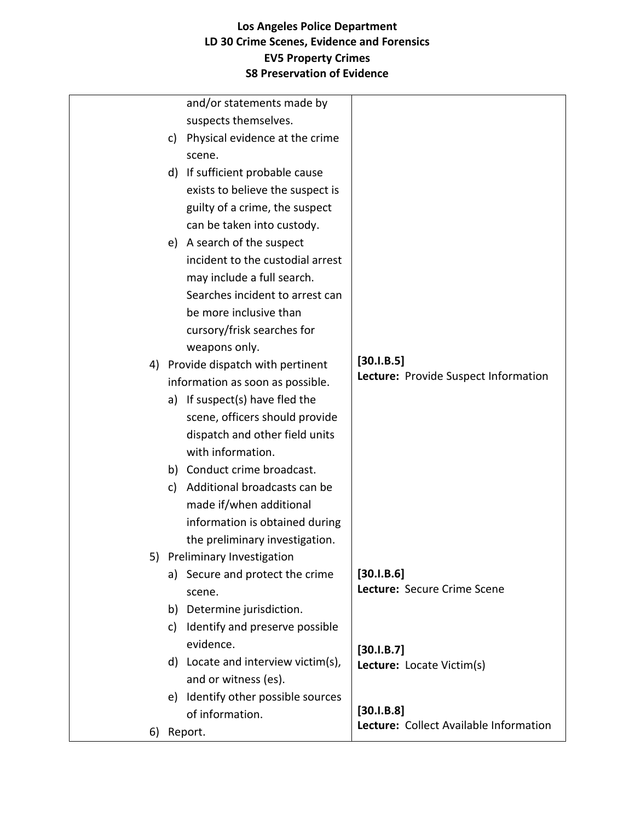|    | and/or statements made by             |                                        |
|----|---------------------------------------|----------------------------------------|
|    | suspects themselves.                  |                                        |
|    | c) Physical evidence at the crime     |                                        |
|    | scene.                                |                                        |
|    | d) If sufficient probable cause       |                                        |
|    | exists to believe the suspect is      |                                        |
|    | guilty of a crime, the suspect        |                                        |
|    | can be taken into custody.            |                                        |
|    | e) A search of the suspect            |                                        |
|    | incident to the custodial arrest      |                                        |
|    | may include a full search.            |                                        |
|    | Searches incident to arrest can       |                                        |
|    | be more inclusive than                |                                        |
|    | cursory/frisk searches for            |                                        |
|    | weapons only.                         |                                        |
|    | 4) Provide dispatch with pertinent    | [30.1.B.5]                             |
|    | information as soon as possible.      | Lecture: Provide Suspect Information   |
|    | a) If suspect(s) have fled the        |                                        |
|    | scene, officers should provide        |                                        |
|    | dispatch and other field units        |                                        |
|    | with information.                     |                                        |
|    | b) Conduct crime broadcast.           |                                        |
|    | Additional broadcasts can be<br>c)    |                                        |
|    | made if/when additional               |                                        |
|    | information is obtained during        |                                        |
|    | the preliminary investigation.        |                                        |
|    | 5) Preliminary Investigation          |                                        |
|    | a) Secure and protect the crime       | [30.1.B.6]                             |
|    | scene.                                | Lecture: Secure Crime Scene            |
|    | b) Determine jurisdiction.            |                                        |
|    | c) Identify and preserve possible     |                                        |
|    | evidence.                             | [30.1.B.7]                             |
|    | d) Locate and interview victim(s),    | Lecture: Locate Victim(s)              |
|    | and or witness (es).                  |                                        |
|    | Identify other possible sources<br>e) |                                        |
|    | of information.                       | [30.1.B.8]                             |
| 6) | Report.                               | Lecture: Collect Available Information |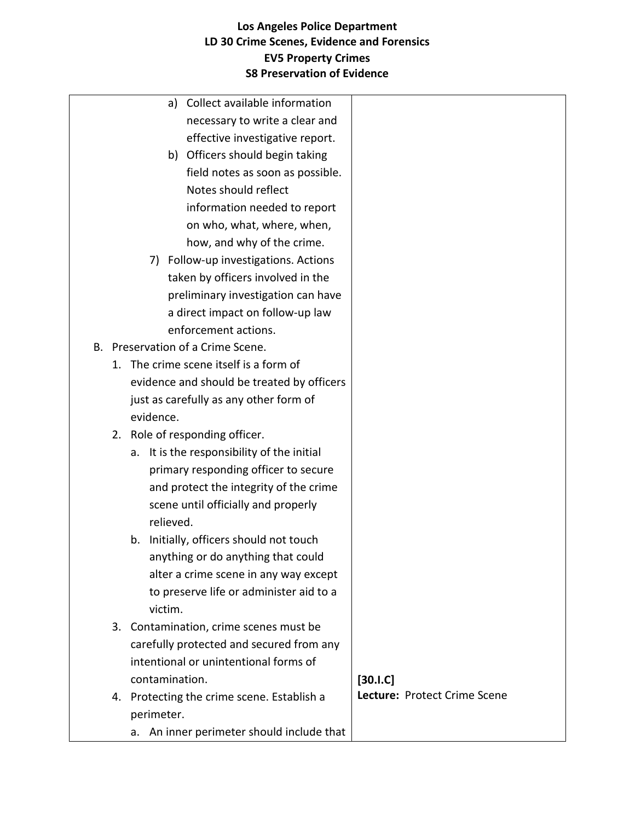|  | a) Collect available information              |                              |
|--|-----------------------------------------------|------------------------------|
|  | necessary to write a clear and                |                              |
|  | effective investigative report.               |                              |
|  | b) Officers should begin taking               |                              |
|  | field notes as soon as possible.              |                              |
|  | Notes should reflect                          |                              |
|  | information needed to report                  |                              |
|  | on who, what, where, when,                    |                              |
|  | how, and why of the crime.                    |                              |
|  | 7) Follow-up investigations. Actions          |                              |
|  | taken by officers involved in the             |                              |
|  | preliminary investigation can have            |                              |
|  | a direct impact on follow-up law              |                              |
|  | enforcement actions.                          |                              |
|  | B. Preservation of a Crime Scene.             |                              |
|  | 1. The crime scene itself is a form of        |                              |
|  | evidence and should be treated by officers    |                              |
|  | just as carefully as any other form of        |                              |
|  | evidence.                                     |                              |
|  | 2. Role of responding officer.                |                              |
|  | It is the responsibility of the initial<br>a. |                              |
|  | primary responding officer to secure          |                              |
|  | and protect the integrity of the crime        |                              |
|  | scene until officially and properly           |                              |
|  | relieved.                                     |                              |
|  | b. Initially, officers should not touch       |                              |
|  | anything or do anything that could            |                              |
|  | alter a crime scene in any way except         |                              |
|  | to preserve life or administer aid to a       |                              |
|  | victim.                                       |                              |
|  | 3. Contamination, crime scenes must be        |                              |
|  | carefully protected and secured from any      |                              |
|  | intentional or unintentional forms of         |                              |
|  | contamination.                                | $[30.1.C]$                   |
|  | 4. Protecting the crime scene. Establish a    | Lecture: Protect Crime Scene |
|  | perimeter.                                    |                              |
|  | a. An inner perimeter should include that     |                              |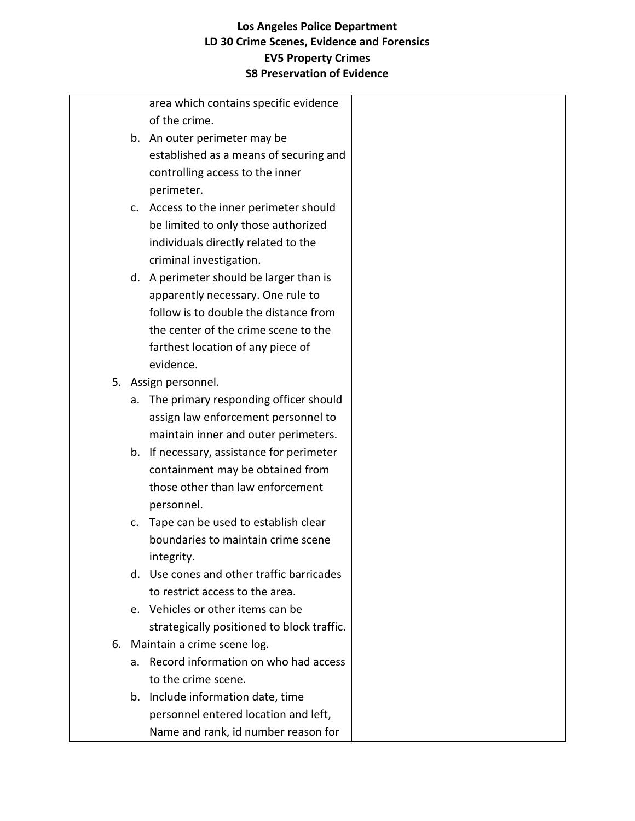| area which contains specific evidence<br>of the crime.<br>b. An outer perimeter may be<br>established as a means of securing and<br>controlling access to the inner<br>perimeter.<br>c. Access to the inner perimeter should<br>be limited to only those authorized<br>individuals directly related to the<br>criminal investigation.<br>d. A perimeter should be larger than is<br>apparently necessary. One rule to<br>follow is to double the distance from<br>the center of the crime scene to the<br>farthest location of any piece of<br>evidence.<br>Assign personnel.<br>5.<br>The primary responding officer should<br>a.<br>assign law enforcement personnel to<br>maintain inner and outer perimeters.<br>b. If necessary, assistance for perimeter<br>containment may be obtained from<br>those other than law enforcement<br>personnel.<br>Tape can be used to establish clear<br>c.<br>boundaries to maintain crime scene<br>integrity.<br>d. Use cones and other traffic barricades<br>to restrict access to the area.<br>e. Vehicles or other items can be<br>strategically positioned to block traffic.<br>Maintain a crime scene log.<br>6.<br>Record information on who had access<br>а.<br>to the crime scene.<br>b. Include information date, time<br>personnel entered location and left, |  |                                     |  |
|-----------------------------------------------------------------------------------------------------------------------------------------------------------------------------------------------------------------------------------------------------------------------------------------------------------------------------------------------------------------------------------------------------------------------------------------------------------------------------------------------------------------------------------------------------------------------------------------------------------------------------------------------------------------------------------------------------------------------------------------------------------------------------------------------------------------------------------------------------------------------------------------------------------------------------------------------------------------------------------------------------------------------------------------------------------------------------------------------------------------------------------------------------------------------------------------------------------------------------------------------------------------------------------------------------------------|--|-------------------------------------|--|
|                                                                                                                                                                                                                                                                                                                                                                                                                                                                                                                                                                                                                                                                                                                                                                                                                                                                                                                                                                                                                                                                                                                                                                                                                                                                                                                 |  |                                     |  |
|                                                                                                                                                                                                                                                                                                                                                                                                                                                                                                                                                                                                                                                                                                                                                                                                                                                                                                                                                                                                                                                                                                                                                                                                                                                                                                                 |  |                                     |  |
|                                                                                                                                                                                                                                                                                                                                                                                                                                                                                                                                                                                                                                                                                                                                                                                                                                                                                                                                                                                                                                                                                                                                                                                                                                                                                                                 |  |                                     |  |
|                                                                                                                                                                                                                                                                                                                                                                                                                                                                                                                                                                                                                                                                                                                                                                                                                                                                                                                                                                                                                                                                                                                                                                                                                                                                                                                 |  |                                     |  |
|                                                                                                                                                                                                                                                                                                                                                                                                                                                                                                                                                                                                                                                                                                                                                                                                                                                                                                                                                                                                                                                                                                                                                                                                                                                                                                                 |  |                                     |  |
|                                                                                                                                                                                                                                                                                                                                                                                                                                                                                                                                                                                                                                                                                                                                                                                                                                                                                                                                                                                                                                                                                                                                                                                                                                                                                                                 |  |                                     |  |
|                                                                                                                                                                                                                                                                                                                                                                                                                                                                                                                                                                                                                                                                                                                                                                                                                                                                                                                                                                                                                                                                                                                                                                                                                                                                                                                 |  |                                     |  |
|                                                                                                                                                                                                                                                                                                                                                                                                                                                                                                                                                                                                                                                                                                                                                                                                                                                                                                                                                                                                                                                                                                                                                                                                                                                                                                                 |  |                                     |  |
|                                                                                                                                                                                                                                                                                                                                                                                                                                                                                                                                                                                                                                                                                                                                                                                                                                                                                                                                                                                                                                                                                                                                                                                                                                                                                                                 |  |                                     |  |
|                                                                                                                                                                                                                                                                                                                                                                                                                                                                                                                                                                                                                                                                                                                                                                                                                                                                                                                                                                                                                                                                                                                                                                                                                                                                                                                 |  |                                     |  |
|                                                                                                                                                                                                                                                                                                                                                                                                                                                                                                                                                                                                                                                                                                                                                                                                                                                                                                                                                                                                                                                                                                                                                                                                                                                                                                                 |  |                                     |  |
|                                                                                                                                                                                                                                                                                                                                                                                                                                                                                                                                                                                                                                                                                                                                                                                                                                                                                                                                                                                                                                                                                                                                                                                                                                                                                                                 |  |                                     |  |
|                                                                                                                                                                                                                                                                                                                                                                                                                                                                                                                                                                                                                                                                                                                                                                                                                                                                                                                                                                                                                                                                                                                                                                                                                                                                                                                 |  |                                     |  |
|                                                                                                                                                                                                                                                                                                                                                                                                                                                                                                                                                                                                                                                                                                                                                                                                                                                                                                                                                                                                                                                                                                                                                                                                                                                                                                                 |  |                                     |  |
|                                                                                                                                                                                                                                                                                                                                                                                                                                                                                                                                                                                                                                                                                                                                                                                                                                                                                                                                                                                                                                                                                                                                                                                                                                                                                                                 |  |                                     |  |
|                                                                                                                                                                                                                                                                                                                                                                                                                                                                                                                                                                                                                                                                                                                                                                                                                                                                                                                                                                                                                                                                                                                                                                                                                                                                                                                 |  |                                     |  |
|                                                                                                                                                                                                                                                                                                                                                                                                                                                                                                                                                                                                                                                                                                                                                                                                                                                                                                                                                                                                                                                                                                                                                                                                                                                                                                                 |  |                                     |  |
|                                                                                                                                                                                                                                                                                                                                                                                                                                                                                                                                                                                                                                                                                                                                                                                                                                                                                                                                                                                                                                                                                                                                                                                                                                                                                                                 |  |                                     |  |
|                                                                                                                                                                                                                                                                                                                                                                                                                                                                                                                                                                                                                                                                                                                                                                                                                                                                                                                                                                                                                                                                                                                                                                                                                                                                                                                 |  |                                     |  |
|                                                                                                                                                                                                                                                                                                                                                                                                                                                                                                                                                                                                                                                                                                                                                                                                                                                                                                                                                                                                                                                                                                                                                                                                                                                                                                                 |  |                                     |  |
|                                                                                                                                                                                                                                                                                                                                                                                                                                                                                                                                                                                                                                                                                                                                                                                                                                                                                                                                                                                                                                                                                                                                                                                                                                                                                                                 |  |                                     |  |
|                                                                                                                                                                                                                                                                                                                                                                                                                                                                                                                                                                                                                                                                                                                                                                                                                                                                                                                                                                                                                                                                                                                                                                                                                                                                                                                 |  |                                     |  |
|                                                                                                                                                                                                                                                                                                                                                                                                                                                                                                                                                                                                                                                                                                                                                                                                                                                                                                                                                                                                                                                                                                                                                                                                                                                                                                                 |  |                                     |  |
|                                                                                                                                                                                                                                                                                                                                                                                                                                                                                                                                                                                                                                                                                                                                                                                                                                                                                                                                                                                                                                                                                                                                                                                                                                                                                                                 |  |                                     |  |
|                                                                                                                                                                                                                                                                                                                                                                                                                                                                                                                                                                                                                                                                                                                                                                                                                                                                                                                                                                                                                                                                                                                                                                                                                                                                                                                 |  |                                     |  |
|                                                                                                                                                                                                                                                                                                                                                                                                                                                                                                                                                                                                                                                                                                                                                                                                                                                                                                                                                                                                                                                                                                                                                                                                                                                                                                                 |  |                                     |  |
|                                                                                                                                                                                                                                                                                                                                                                                                                                                                                                                                                                                                                                                                                                                                                                                                                                                                                                                                                                                                                                                                                                                                                                                                                                                                                                                 |  |                                     |  |
|                                                                                                                                                                                                                                                                                                                                                                                                                                                                                                                                                                                                                                                                                                                                                                                                                                                                                                                                                                                                                                                                                                                                                                                                                                                                                                                 |  |                                     |  |
|                                                                                                                                                                                                                                                                                                                                                                                                                                                                                                                                                                                                                                                                                                                                                                                                                                                                                                                                                                                                                                                                                                                                                                                                                                                                                                                 |  |                                     |  |
|                                                                                                                                                                                                                                                                                                                                                                                                                                                                                                                                                                                                                                                                                                                                                                                                                                                                                                                                                                                                                                                                                                                                                                                                                                                                                                                 |  |                                     |  |
|                                                                                                                                                                                                                                                                                                                                                                                                                                                                                                                                                                                                                                                                                                                                                                                                                                                                                                                                                                                                                                                                                                                                                                                                                                                                                                                 |  |                                     |  |
|                                                                                                                                                                                                                                                                                                                                                                                                                                                                                                                                                                                                                                                                                                                                                                                                                                                                                                                                                                                                                                                                                                                                                                                                                                                                                                                 |  |                                     |  |
|                                                                                                                                                                                                                                                                                                                                                                                                                                                                                                                                                                                                                                                                                                                                                                                                                                                                                                                                                                                                                                                                                                                                                                                                                                                                                                                 |  |                                     |  |
|                                                                                                                                                                                                                                                                                                                                                                                                                                                                                                                                                                                                                                                                                                                                                                                                                                                                                                                                                                                                                                                                                                                                                                                                                                                                                                                 |  |                                     |  |
|                                                                                                                                                                                                                                                                                                                                                                                                                                                                                                                                                                                                                                                                                                                                                                                                                                                                                                                                                                                                                                                                                                                                                                                                                                                                                                                 |  |                                     |  |
|                                                                                                                                                                                                                                                                                                                                                                                                                                                                                                                                                                                                                                                                                                                                                                                                                                                                                                                                                                                                                                                                                                                                                                                                                                                                                                                 |  |                                     |  |
|                                                                                                                                                                                                                                                                                                                                                                                                                                                                                                                                                                                                                                                                                                                                                                                                                                                                                                                                                                                                                                                                                                                                                                                                                                                                                                                 |  | Name and rank, id number reason for |  |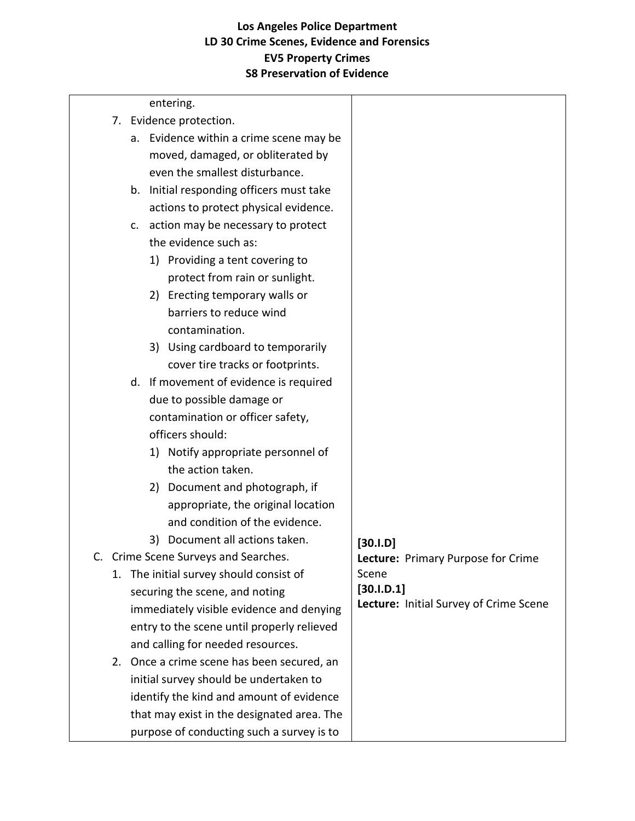| entering.                                  |                                        |
|--------------------------------------------|----------------------------------------|
| 7. Evidence protection.                    |                                        |
| a. Evidence within a crime scene may be    |                                        |
| moved, damaged, or obliterated by          |                                        |
| even the smallest disturbance.             |                                        |
| b. Initial responding officers must take   |                                        |
| actions to protect physical evidence.      |                                        |
| c. action may be necessary to protect      |                                        |
| the evidence such as:                      |                                        |
| 1) Providing a tent covering to            |                                        |
| protect from rain or sunlight.             |                                        |
| 2) Erecting temporary walls or             |                                        |
| barriers to reduce wind                    |                                        |
| contamination.                             |                                        |
| 3) Using cardboard to temporarily          |                                        |
| cover tire tracks or footprints.           |                                        |
| d. If movement of evidence is required     |                                        |
| due to possible damage or                  |                                        |
| contamination or officer safety,           |                                        |
| officers should:                           |                                        |
| 1) Notify appropriate personnel of         |                                        |
| the action taken.                          |                                        |
| Document and photograph, if<br>2)          |                                        |
| appropriate, the original location         |                                        |
| and condition of the evidence.             |                                        |
| 3) Document all actions taken.             | $[30.1.D]$                             |
| C. Crime Scene Surveys and Searches.       | Lecture: Primary Purpose for Crime     |
| The initial survey should consist of<br>1. | Scene                                  |
| securing the scene, and noting             | [30.1.D.1]                             |
| immediately visible evidence and denying   | Lecture: Initial Survey of Crime Scene |
| entry to the scene until properly relieved |                                        |
| and calling for needed resources.          |                                        |
| 2. Once a crime scene has been secured, an |                                        |
| initial survey should be undertaken to     |                                        |
| identify the kind and amount of evidence   |                                        |
| that may exist in the designated area. The |                                        |
| purpose of conducting such a survey is to  |                                        |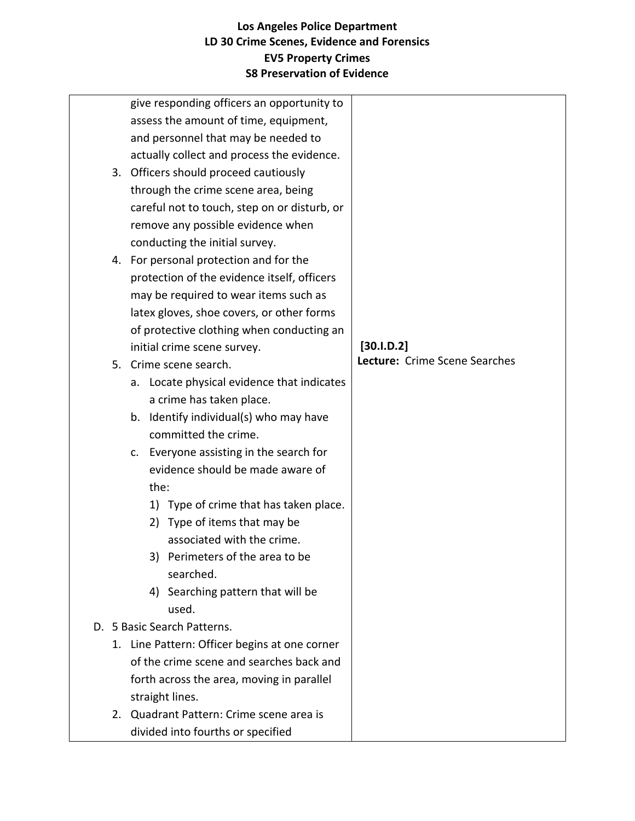|  | give responding officers an opportunity to    |                               |
|--|-----------------------------------------------|-------------------------------|
|  | assess the amount of time, equipment,         |                               |
|  | and personnel that may be needed to           |                               |
|  | actually collect and process the evidence.    |                               |
|  | 3. Officers should proceed cautiously         |                               |
|  | through the crime scene area, being           |                               |
|  | careful not to touch, step on or disturb, or  |                               |
|  | remove any possible evidence when             |                               |
|  | conducting the initial survey.                |                               |
|  | 4. For personal protection and for the        |                               |
|  | protection of the evidence itself, officers   |                               |
|  | may be required to wear items such as         |                               |
|  | latex gloves, shoe covers, or other forms     |                               |
|  | of protective clothing when conducting an     |                               |
|  | initial crime scene survey.                   | [30.1.D.2]                    |
|  | 5. Crime scene search.                        | Lecture: Crime Scene Searches |
|  | a. Locate physical evidence that indicates    |                               |
|  | a crime has taken place.                      |                               |
|  | Identify individual(s) who may have<br>b.     |                               |
|  | committed the crime.                          |                               |
|  | c. Everyone assisting in the search for       |                               |
|  | evidence should be made aware of              |                               |
|  | the:                                          |                               |
|  | 1) Type of crime that has taken place.        |                               |
|  | 2) Type of items that may be                  |                               |
|  | associated with the crime.                    |                               |
|  | 3) Perimeters of the area to be               |                               |
|  | searched.                                     |                               |
|  | 4) Searching pattern that will be             |                               |
|  | used.                                         |                               |
|  | D. 5 Basic Search Patterns.                   |                               |
|  | 1. Line Pattern: Officer begins at one corner |                               |
|  | of the crime scene and searches back and      |                               |
|  | forth across the area, moving in parallel     |                               |
|  | straight lines.                               |                               |
|  | 2. Quadrant Pattern: Crime scene area is      |                               |
|  | divided into fourths or specified             |                               |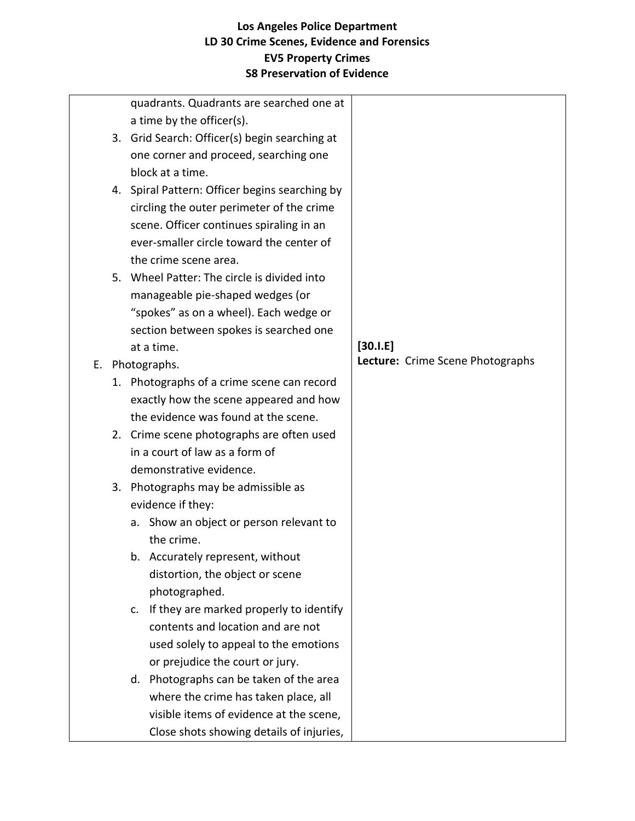|    | quadrants. Quadrants are searched one at       |                                  |
|----|------------------------------------------------|----------------------------------|
|    | a time by the officer(s).                      |                                  |
|    | 3. Grid Search: Officer(s) begin searching at  |                                  |
|    | one corner and proceed, searching one          |                                  |
|    | block at a time.                               |                                  |
|    | 4. Spiral Pattern: Officer begins searching by |                                  |
|    | circling the outer perimeter of the crime      |                                  |
|    | scene. Officer continues spiraling in an       |                                  |
|    | ever-smaller circle toward the center of       |                                  |
|    | the crime scene area.                          |                                  |
|    | 5. Wheel Patter: The circle is divided into    |                                  |
|    | manageable pie-shaped wedges (or               |                                  |
|    | "spokes" as on a wheel). Each wedge or         |                                  |
|    | section between spokes is searched one         |                                  |
|    | at a time.                                     | $[30.1.E]$                       |
|    | E. Photographs.                                | Lecture: Crime Scene Photographs |
|    | 1. Photographs of a crime scene can record     |                                  |
|    | exactly how the scene appeared and how         |                                  |
|    | the evidence was found at the scene.           |                                  |
|    | 2. Crime scene photographs are often used      |                                  |
|    | in a court of law as a form of                 |                                  |
|    | demonstrative evidence.                        |                                  |
| 3. | Photographs may be admissible as               |                                  |
|    | evidence if they:                              |                                  |
|    | a. Show an object or person relevant to        |                                  |
|    | the crime.                                     |                                  |
|    | b. Accurately represent, without               |                                  |
|    | distortion, the object or scene                |                                  |
|    | photographed.                                  |                                  |
|    | If they are marked properly to identify<br>c.  |                                  |
|    | contents and location and are not              |                                  |
|    | used solely to appeal to the emotions          |                                  |
|    | or prejudice the court or jury.                |                                  |
|    | d. Photographs can be taken of the area        |                                  |
|    | where the crime has taken place, all           |                                  |
|    | visible items of evidence at the scene,        |                                  |
|    | Close shots showing details of injuries,       |                                  |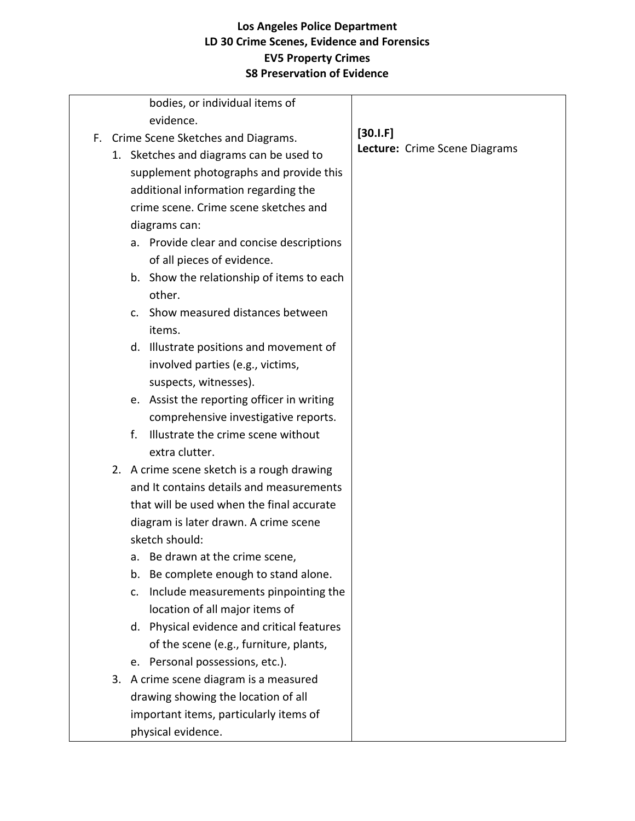| bodies, or individual items of<br>evidence. |                               |
|---------------------------------------------|-------------------------------|
| F. Crime Scene Sketches and Diagrams.       | $[30.1 \text{ F}]$            |
| 1. Sketches and diagrams can be used to     | Lecture: Crime Scene Diagrams |
| supplement photographs and provide this     |                               |
| additional information regarding the        |                               |
| crime scene. Crime scene sketches and       |                               |
| diagrams can:                               |                               |
| a. Provide clear and concise descriptions   |                               |
| of all pieces of evidence.                  |                               |
| b. Show the relationship of items to each   |                               |
| other.                                      |                               |
| c. Show measured distances between          |                               |
| items.                                      |                               |
| d. Illustrate positions and movement of     |                               |
| involved parties (e.g., victims,            |                               |
| suspects, witnesses).                       |                               |
| e. Assist the reporting officer in writing  |                               |
| comprehensive investigative reports.        |                               |
| Illustrate the crime scene without<br>f.    |                               |
| extra clutter.                              |                               |
| 2. A crime scene sketch is a rough drawing  |                               |
| and It contains details and measurements    |                               |
| that will be used when the final accurate   |                               |
| diagram is later drawn. A crime scene       |                               |
| sketch should:                              |                               |
| Be drawn at the crime scene,<br>a.          |                               |
| Be complete enough to stand alone.<br>b.    |                               |
| Include measurements pinpointing the<br>c.  |                               |
| location of all major items of              |                               |
| d. Physical evidence and critical features  |                               |
| of the scene (e.g., furniture, plants,      |                               |
| e. Personal possessions, etc.).             |                               |
| 3. A crime scene diagram is a measured      |                               |
| drawing showing the location of all         |                               |
| important items, particularly items of      |                               |
| physical evidence.                          |                               |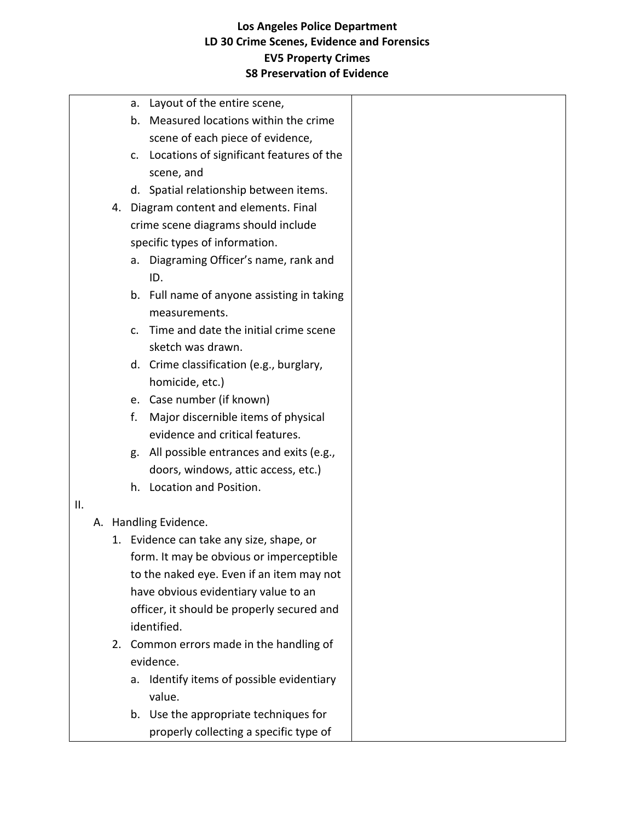| a. Layout of the entire scene,<br>b. Measured locations within the crime<br>scene of each piece of evidence,<br>Locations of significant features of the<br>c.<br>scene, and<br>d. Spatial relationship between items.<br>4. Diagram content and elements. Final<br>crime scene diagrams should include<br>specific types of information.<br>a. Diagraming Officer's name, rank and<br>ID.<br>b. Full name of anyone assisting in taking<br>measurements.<br>Time and date the initial crime scene<br>$C_{\cdot}$<br>sketch was drawn.<br>d. Crime classification (e.g., burglary,<br>homicide, etc.)<br>e. Case number (if known)<br>f.<br>Major discernible items of physical<br>evidence and critical features.<br>g. All possible entrances and exits (e.g.,<br>doors, windows, attic access, etc.)<br>h. Location and Position.<br>A. Handling Evidence.<br>1. Evidence can take any size, shape, or<br>form. It may be obvious or imperceptible<br>to the naked eye. Even if an item may not<br>have obvious evidentiary value to an<br>officer, it should be properly secured and<br>identified.<br>2. Common errors made in the handling of<br>evidence.<br>Identify items of possible evidentiary<br>a.<br>value.<br>b. Use the appropriate techniques for |     |  |                                        |  |
|---------------------------------------------------------------------------------------------------------------------------------------------------------------------------------------------------------------------------------------------------------------------------------------------------------------------------------------------------------------------------------------------------------------------------------------------------------------------------------------------------------------------------------------------------------------------------------------------------------------------------------------------------------------------------------------------------------------------------------------------------------------------------------------------------------------------------------------------------------------------------------------------------------------------------------------------------------------------------------------------------------------------------------------------------------------------------------------------------------------------------------------------------------------------------------------------------------------------------------------------------------------------|-----|--|----------------------------------------|--|
|                                                                                                                                                                                                                                                                                                                                                                                                                                                                                                                                                                                                                                                                                                                                                                                                                                                                                                                                                                                                                                                                                                                                                                                                                                                                     |     |  |                                        |  |
|                                                                                                                                                                                                                                                                                                                                                                                                                                                                                                                                                                                                                                                                                                                                                                                                                                                                                                                                                                                                                                                                                                                                                                                                                                                                     |     |  |                                        |  |
|                                                                                                                                                                                                                                                                                                                                                                                                                                                                                                                                                                                                                                                                                                                                                                                                                                                                                                                                                                                                                                                                                                                                                                                                                                                                     |     |  |                                        |  |
|                                                                                                                                                                                                                                                                                                                                                                                                                                                                                                                                                                                                                                                                                                                                                                                                                                                                                                                                                                                                                                                                                                                                                                                                                                                                     |     |  |                                        |  |
|                                                                                                                                                                                                                                                                                                                                                                                                                                                                                                                                                                                                                                                                                                                                                                                                                                                                                                                                                                                                                                                                                                                                                                                                                                                                     |     |  |                                        |  |
|                                                                                                                                                                                                                                                                                                                                                                                                                                                                                                                                                                                                                                                                                                                                                                                                                                                                                                                                                                                                                                                                                                                                                                                                                                                                     |     |  |                                        |  |
|                                                                                                                                                                                                                                                                                                                                                                                                                                                                                                                                                                                                                                                                                                                                                                                                                                                                                                                                                                                                                                                                                                                                                                                                                                                                     |     |  |                                        |  |
|                                                                                                                                                                                                                                                                                                                                                                                                                                                                                                                                                                                                                                                                                                                                                                                                                                                                                                                                                                                                                                                                                                                                                                                                                                                                     |     |  |                                        |  |
|                                                                                                                                                                                                                                                                                                                                                                                                                                                                                                                                                                                                                                                                                                                                                                                                                                                                                                                                                                                                                                                                                                                                                                                                                                                                     |     |  |                                        |  |
|                                                                                                                                                                                                                                                                                                                                                                                                                                                                                                                                                                                                                                                                                                                                                                                                                                                                                                                                                                                                                                                                                                                                                                                                                                                                     |     |  |                                        |  |
|                                                                                                                                                                                                                                                                                                                                                                                                                                                                                                                                                                                                                                                                                                                                                                                                                                                                                                                                                                                                                                                                                                                                                                                                                                                                     |     |  |                                        |  |
|                                                                                                                                                                                                                                                                                                                                                                                                                                                                                                                                                                                                                                                                                                                                                                                                                                                                                                                                                                                                                                                                                                                                                                                                                                                                     |     |  |                                        |  |
|                                                                                                                                                                                                                                                                                                                                                                                                                                                                                                                                                                                                                                                                                                                                                                                                                                                                                                                                                                                                                                                                                                                                                                                                                                                                     |     |  |                                        |  |
|                                                                                                                                                                                                                                                                                                                                                                                                                                                                                                                                                                                                                                                                                                                                                                                                                                                                                                                                                                                                                                                                                                                                                                                                                                                                     |     |  |                                        |  |
|                                                                                                                                                                                                                                                                                                                                                                                                                                                                                                                                                                                                                                                                                                                                                                                                                                                                                                                                                                                                                                                                                                                                                                                                                                                                     |     |  |                                        |  |
|                                                                                                                                                                                                                                                                                                                                                                                                                                                                                                                                                                                                                                                                                                                                                                                                                                                                                                                                                                                                                                                                                                                                                                                                                                                                     |     |  |                                        |  |
|                                                                                                                                                                                                                                                                                                                                                                                                                                                                                                                                                                                                                                                                                                                                                                                                                                                                                                                                                                                                                                                                                                                                                                                                                                                                     |     |  |                                        |  |
|                                                                                                                                                                                                                                                                                                                                                                                                                                                                                                                                                                                                                                                                                                                                                                                                                                                                                                                                                                                                                                                                                                                                                                                                                                                                     |     |  |                                        |  |
|                                                                                                                                                                                                                                                                                                                                                                                                                                                                                                                                                                                                                                                                                                                                                                                                                                                                                                                                                                                                                                                                                                                                                                                                                                                                     |     |  |                                        |  |
|                                                                                                                                                                                                                                                                                                                                                                                                                                                                                                                                                                                                                                                                                                                                                                                                                                                                                                                                                                                                                                                                                                                                                                                                                                                                     |     |  |                                        |  |
|                                                                                                                                                                                                                                                                                                                                                                                                                                                                                                                                                                                                                                                                                                                                                                                                                                                                                                                                                                                                                                                                                                                                                                                                                                                                     |     |  |                                        |  |
|                                                                                                                                                                                                                                                                                                                                                                                                                                                                                                                                                                                                                                                                                                                                                                                                                                                                                                                                                                                                                                                                                                                                                                                                                                                                     |     |  |                                        |  |
|                                                                                                                                                                                                                                                                                                                                                                                                                                                                                                                                                                                                                                                                                                                                                                                                                                                                                                                                                                                                                                                                                                                                                                                                                                                                     |     |  |                                        |  |
|                                                                                                                                                                                                                                                                                                                                                                                                                                                                                                                                                                                                                                                                                                                                                                                                                                                                                                                                                                                                                                                                                                                                                                                                                                                                     | II. |  |                                        |  |
|                                                                                                                                                                                                                                                                                                                                                                                                                                                                                                                                                                                                                                                                                                                                                                                                                                                                                                                                                                                                                                                                                                                                                                                                                                                                     |     |  |                                        |  |
|                                                                                                                                                                                                                                                                                                                                                                                                                                                                                                                                                                                                                                                                                                                                                                                                                                                                                                                                                                                                                                                                                                                                                                                                                                                                     |     |  |                                        |  |
|                                                                                                                                                                                                                                                                                                                                                                                                                                                                                                                                                                                                                                                                                                                                                                                                                                                                                                                                                                                                                                                                                                                                                                                                                                                                     |     |  |                                        |  |
|                                                                                                                                                                                                                                                                                                                                                                                                                                                                                                                                                                                                                                                                                                                                                                                                                                                                                                                                                                                                                                                                                                                                                                                                                                                                     |     |  |                                        |  |
|                                                                                                                                                                                                                                                                                                                                                                                                                                                                                                                                                                                                                                                                                                                                                                                                                                                                                                                                                                                                                                                                                                                                                                                                                                                                     |     |  |                                        |  |
|                                                                                                                                                                                                                                                                                                                                                                                                                                                                                                                                                                                                                                                                                                                                                                                                                                                                                                                                                                                                                                                                                                                                                                                                                                                                     |     |  |                                        |  |
|                                                                                                                                                                                                                                                                                                                                                                                                                                                                                                                                                                                                                                                                                                                                                                                                                                                                                                                                                                                                                                                                                                                                                                                                                                                                     |     |  |                                        |  |
|                                                                                                                                                                                                                                                                                                                                                                                                                                                                                                                                                                                                                                                                                                                                                                                                                                                                                                                                                                                                                                                                                                                                                                                                                                                                     |     |  |                                        |  |
|                                                                                                                                                                                                                                                                                                                                                                                                                                                                                                                                                                                                                                                                                                                                                                                                                                                                                                                                                                                                                                                                                                                                                                                                                                                                     |     |  |                                        |  |
|                                                                                                                                                                                                                                                                                                                                                                                                                                                                                                                                                                                                                                                                                                                                                                                                                                                                                                                                                                                                                                                                                                                                                                                                                                                                     |     |  |                                        |  |
|                                                                                                                                                                                                                                                                                                                                                                                                                                                                                                                                                                                                                                                                                                                                                                                                                                                                                                                                                                                                                                                                                                                                                                                                                                                                     |     |  |                                        |  |
|                                                                                                                                                                                                                                                                                                                                                                                                                                                                                                                                                                                                                                                                                                                                                                                                                                                                                                                                                                                                                                                                                                                                                                                                                                                                     |     |  |                                        |  |
|                                                                                                                                                                                                                                                                                                                                                                                                                                                                                                                                                                                                                                                                                                                                                                                                                                                                                                                                                                                                                                                                                                                                                                                                                                                                     |     |  | properly collecting a specific type of |  |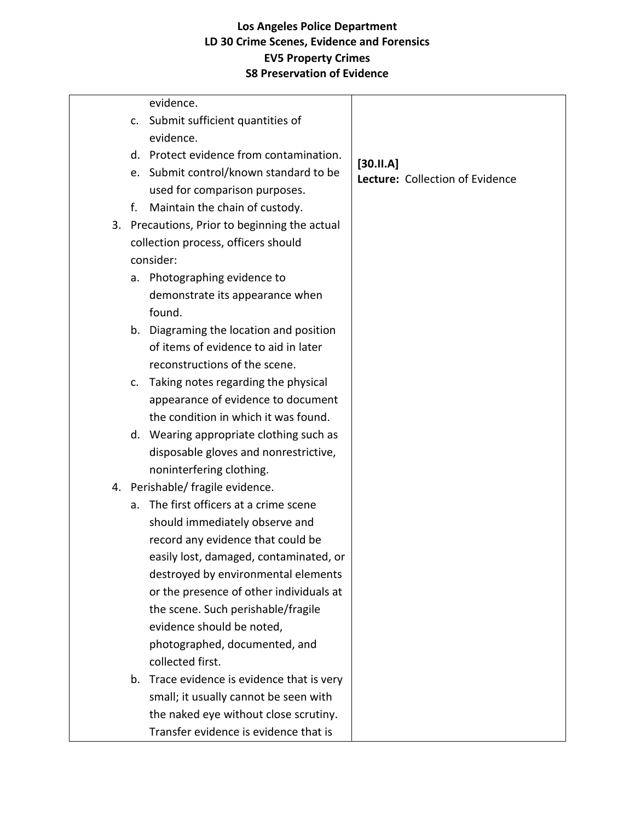|  |    | evidence.                                     |                                 |
|--|----|-----------------------------------------------|---------------------------------|
|  | c. | Submit sufficient quantities of               |                                 |
|  |    | evidence.                                     |                                 |
|  | d. | Protect evidence from contamination.          | [30.11.A]                       |
|  | e. | Submit control/known standard to be           | Lecture: Collection of Evidence |
|  |    | used for comparison purposes.                 |                                 |
|  | f. | Maintain the chain of custody.                |                                 |
|  |    | 3. Precautions, Prior to beginning the actual |                                 |
|  |    | collection process, officers should           |                                 |
|  |    | consider:                                     |                                 |
|  | a. | Photographing evidence to                     |                                 |
|  |    | demonstrate its appearance when               |                                 |
|  |    | found.                                        |                                 |
|  | b. | Diagraming the location and position          |                                 |
|  |    | of items of evidence to aid in later          |                                 |
|  |    | reconstructions of the scene.                 |                                 |
|  | c. | Taking notes regarding the physical           |                                 |
|  |    | appearance of evidence to document            |                                 |
|  |    | the condition in which it was found.          |                                 |
|  |    | d. Wearing appropriate clothing such as       |                                 |
|  |    | disposable gloves and nonrestrictive,         |                                 |
|  |    | noninterfering clothing.                      |                                 |
|  |    | 4. Perishable/ fragile evidence.              |                                 |
|  | a. | The first officers at a crime scene           |                                 |
|  |    | should immediately observe and                |                                 |
|  |    | record any evidence that could be             |                                 |
|  |    | easily lost, damaged, contaminated, or        |                                 |
|  |    | destroyed by environmental elements           |                                 |
|  |    | or the presence of other individuals at       |                                 |
|  |    | the scene. Such perishable/fragile            |                                 |
|  |    | evidence should be noted,                     |                                 |
|  |    | photographed, documented, and                 |                                 |
|  |    | collected first.                              |                                 |
|  |    | b. Trace evidence is evidence that is very    |                                 |
|  |    | small; it usually cannot be seen with         |                                 |
|  |    | the naked eye without close scrutiny.         |                                 |
|  |    | Transfer evidence is evidence that is         |                                 |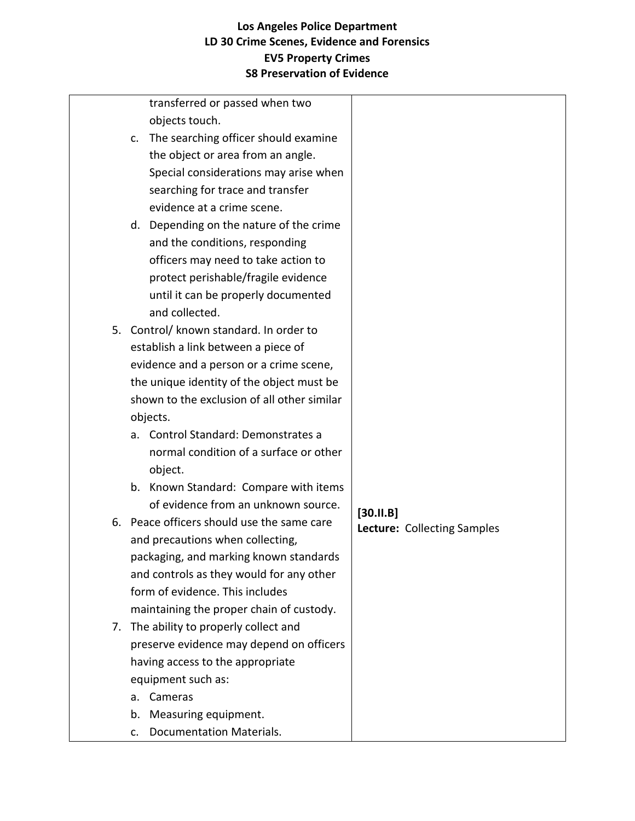|    | transferred or passed when two              |           |                             |
|----|---------------------------------------------|-----------|-----------------------------|
|    | objects touch.                              |           |                             |
|    | c. The searching officer should examine     |           |                             |
|    | the object or area from an angle.           |           |                             |
|    | Special considerations may arise when       |           |                             |
|    | searching for trace and transfer            |           |                             |
|    | evidence at a crime scene.                  |           |                             |
|    | d. Depending on the nature of the crime     |           |                             |
|    | and the conditions, responding              |           |                             |
|    | officers may need to take action to         |           |                             |
|    | protect perishable/fragile evidence         |           |                             |
|    | until it can be properly documented         |           |                             |
|    | and collected.                              |           |                             |
|    | 5. Control/ known standard. In order to     |           |                             |
|    | establish a link between a piece of         |           |                             |
|    | evidence and a person or a crime scene,     |           |                             |
|    | the unique identity of the object must be   |           |                             |
|    | shown to the exclusion of all other similar |           |                             |
|    | objects.                                    |           |                             |
|    | a. Control Standard: Demonstrates a         |           |                             |
|    | normal condition of a surface or other      |           |                             |
|    | object.                                     |           |                             |
|    | b. Known Standard: Compare with items       |           |                             |
|    | of evidence from an unknown source.         |           |                             |
|    | 6. Peace officers should use the same care  | [30.11.B] | Lecture: Collecting Samples |
|    | and precautions when collecting,            |           |                             |
|    | packaging, and marking known standards      |           |                             |
|    | and controls as they would for any other    |           |                             |
|    | form of evidence. This includes             |           |                             |
|    | maintaining the proper chain of custody.    |           |                             |
|    | 7. The ability to properly collect and      |           |                             |
|    | preserve evidence may depend on officers    |           |                             |
|    | having access to the appropriate            |           |                             |
|    | equipment such as:                          |           |                             |
| a. | Cameras                                     |           |                             |
| b. | Measuring equipment.                        |           |                             |
| c. | <b>Documentation Materials.</b>             |           |                             |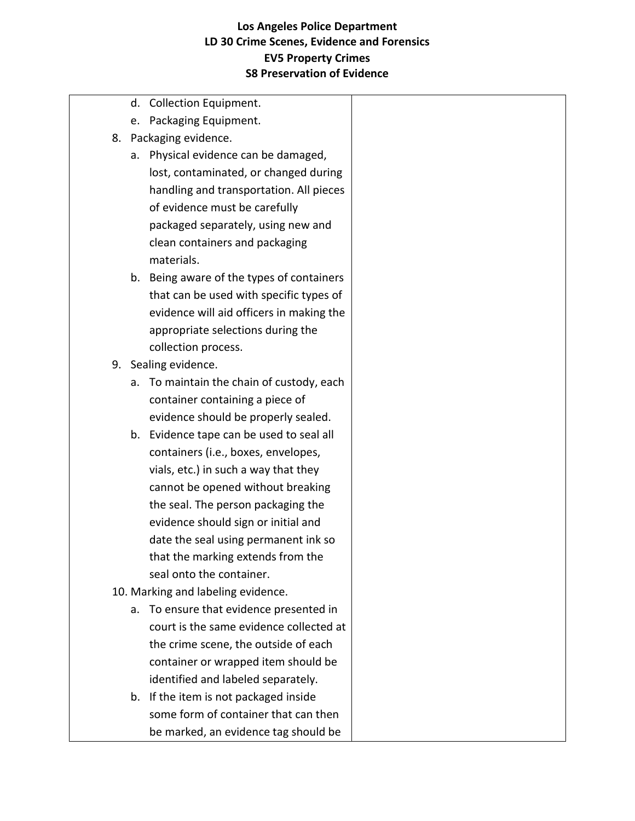d. Collection Equipment. e. Packaging Equipment. 8. Packaging evidence. a. Physical evidence can be damaged, lost, contaminated, or changed during handling and transportation. All pieces of evidence must be carefully packaged separately, using new and clean containers and packaging materials. b. Being aware of the types of containers that can be used with specific types of evidence will aid officers in making the appropriate selections during the collection process. 9. Sealing evidence. a. To maintain the chain of custody, each container containing a piece of evidence should be properly sealed. b. Evidence tape can be used to seal all containers (i.e., boxes, envelopes, vials, etc.) in such a way that they cannot be opened without breaking the seal. The person packaging the evidence should sign or initial and date the seal using permanent ink so that the marking extends from the seal onto the container. 10. Marking and labeling evidence. a. To ensure that evidence presented in court is the same evidence collected at the crime scene, the outside of each container or wrapped item should be identified and labeled separately. b. If the item is not packaged inside some form of container that can then

be marked, an evidence tag should be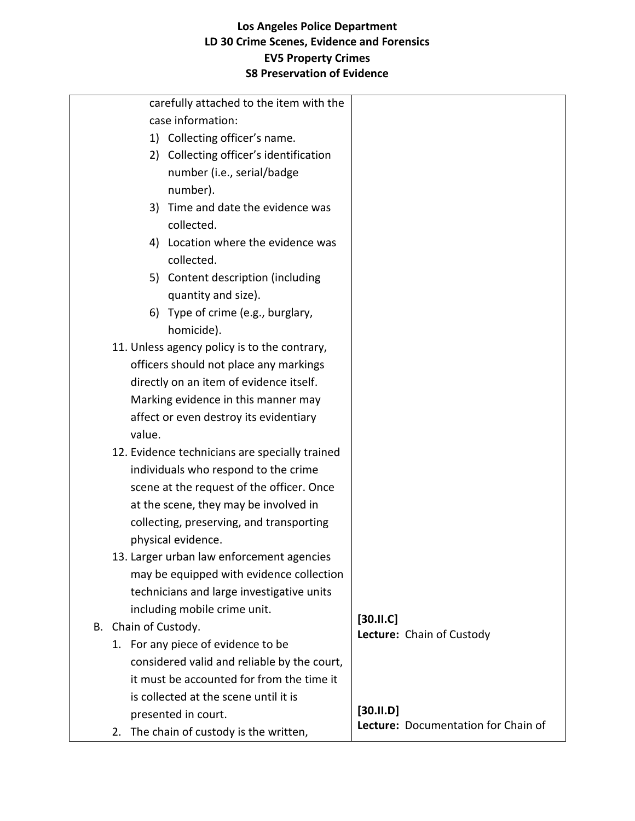| carefully attached to the item with the        |                                     |
|------------------------------------------------|-------------------------------------|
| case information:                              |                                     |
| 1) Collecting officer's name.                  |                                     |
| 2) Collecting officer's identification         |                                     |
| number (i.e., serial/badge                     |                                     |
| number).                                       |                                     |
| 3) Time and date the evidence was              |                                     |
| collected.                                     |                                     |
| 4) Location where the evidence was             |                                     |
| collected.                                     |                                     |
| 5) Content description (including              |                                     |
| quantity and size).                            |                                     |
| 6) Type of crime (e.g., burglary,              |                                     |
| homicide).                                     |                                     |
| 11. Unless agency policy is to the contrary,   |                                     |
| officers should not place any markings         |                                     |
| directly on an item of evidence itself.        |                                     |
| Marking evidence in this manner may            |                                     |
| affect or even destroy its evidentiary         |                                     |
| value.                                         |                                     |
| 12. Evidence technicians are specially trained |                                     |
| individuals who respond to the crime           |                                     |
| scene at the request of the officer. Once      |                                     |
| at the scene, they may be involved in          |                                     |
| collecting, preserving, and transporting       |                                     |
| physical evidence.                             |                                     |
| 13. Larger urban law enforcement agencies      |                                     |
| may be equipped with evidence collection       |                                     |
| technicians and large investigative units      |                                     |
| including mobile crime unit.                   | [30.11.C]                           |
| B. Chain of Custody.                           | Lecture: Chain of Custody           |
| 1. For any piece of evidence to be             |                                     |
| considered valid and reliable by the court,    |                                     |
| it must be accounted for from the time it      |                                     |
| is collected at the scene until it is          | $[30.11. D]$                        |
| presented in court.                            | Lecture: Documentation for Chain of |
| 2. The chain of custody is the written,        |                                     |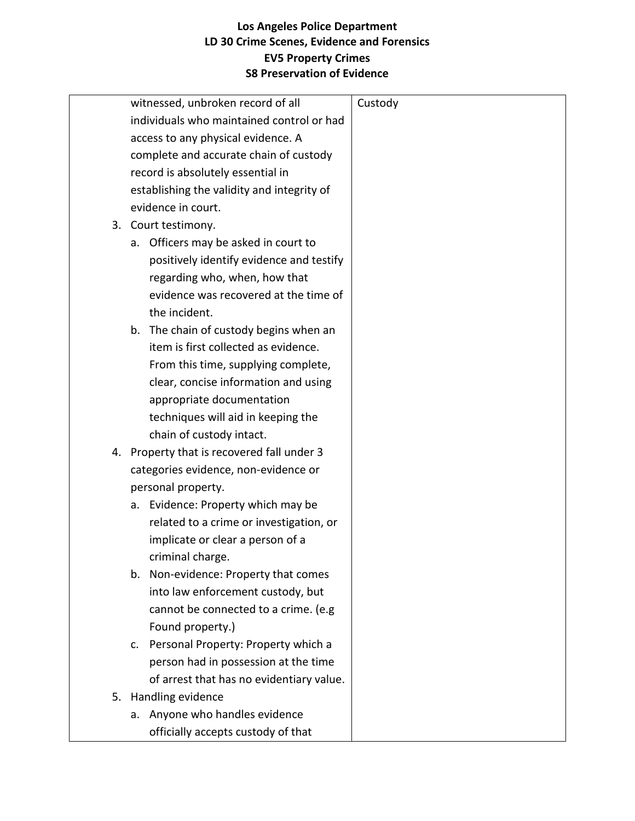|  | witnessed, unbroken record of all          | Custody |
|--|--------------------------------------------|---------|
|  | individuals who maintained control or had  |         |
|  | access to any physical evidence. A         |         |
|  | complete and accurate chain of custody     |         |
|  | record is absolutely essential in          |         |
|  | establishing the validity and integrity of |         |
|  | evidence in court.                         |         |
|  | 3. Court testimony.                        |         |
|  | Officers may be asked in court to<br>а.    |         |
|  | positively identify evidence and testify   |         |
|  | regarding who, when, how that              |         |
|  | evidence was recovered at the time of      |         |
|  | the incident.                              |         |
|  | b. The chain of custody begins when an     |         |
|  | item is first collected as evidence.       |         |
|  | From this time, supplying complete,        |         |
|  | clear, concise information and using       |         |
|  | appropriate documentation                  |         |
|  | techniques will aid in keeping the         |         |
|  | chain of custody intact.                   |         |
|  | 4. Property that is recovered fall under 3 |         |
|  | categories evidence, non-evidence or       |         |
|  | personal property.                         |         |
|  | Evidence: Property which may be<br>а.      |         |
|  | related to a crime or investigation, or    |         |
|  | implicate or clear a person of a           |         |
|  | criminal charge.                           |         |
|  | b. Non-evidence: Property that comes       |         |
|  | into law enforcement custody, but          |         |
|  | cannot be connected to a crime. (e.g.      |         |
|  | Found property.)                           |         |
|  | Personal Property: Property which a<br>c.  |         |
|  | person had in possession at the time       |         |
|  | of arrest that has no evidentiary value.   |         |
|  | 5. Handling evidence                       |         |
|  | a. Anyone who handles evidence             |         |
|  | officially accepts custody of that         |         |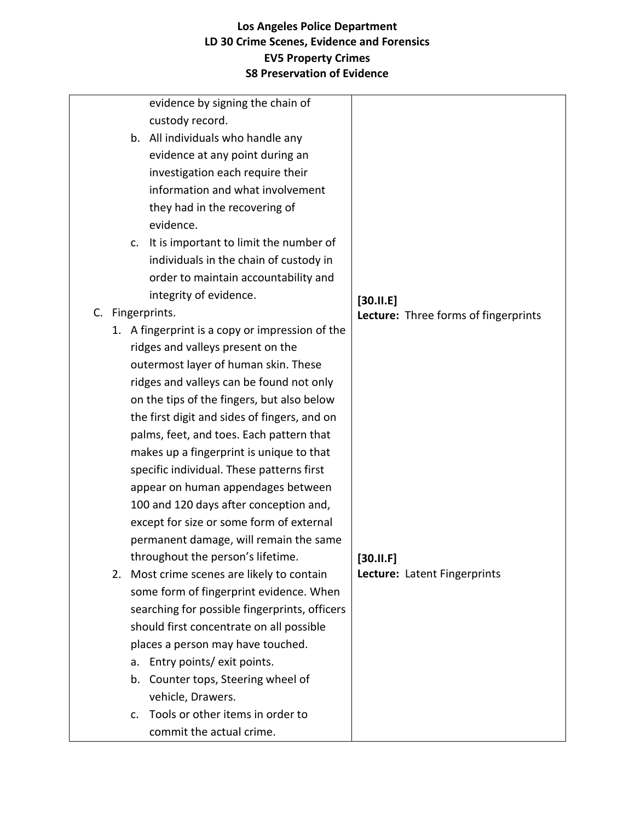|    | evidence by signing the chain of                |                                      |
|----|-------------------------------------------------|--------------------------------------|
|    | custody record.                                 |                                      |
|    | b. All individuals who handle any               |                                      |
|    | evidence at any point during an                 |                                      |
|    | investigation each require their                |                                      |
|    | information and what involvement                |                                      |
|    | they had in the recovering of                   |                                      |
|    | evidence.                                       |                                      |
|    | It is important to limit the number of<br>C.    |                                      |
|    | individuals in the chain of custody in          |                                      |
|    | order to maintain accountability and            |                                      |
|    | integrity of evidence.                          | [30.11.E]                            |
|    | C. Fingerprints.                                | Lecture: Three forms of fingerprints |
|    | 1. A fingerprint is a copy or impression of the |                                      |
|    | ridges and valleys present on the               |                                      |
|    | outermost layer of human skin. These            |                                      |
|    | ridges and valleys can be found not only        |                                      |
|    | on the tips of the fingers, but also below      |                                      |
|    | the first digit and sides of fingers, and on    |                                      |
|    | palms, feet, and toes. Each pattern that        |                                      |
|    | makes up a fingerprint is unique to that        |                                      |
|    | specific individual. These patterns first       |                                      |
|    | appear on human appendages between              |                                      |
|    | 100 and 120 days after conception and,          |                                      |
|    | except for size or some form of external        |                                      |
|    | permanent damage, will remain the same          |                                      |
|    | throughout the person's lifetime.               | $[30.11 \cdot F]$                    |
| 2. | Most crime scenes are likely to contain         | Lecture: Latent Fingerprints         |
|    | some form of fingerprint evidence. When         |                                      |
|    | searching for possible fingerprints, officers   |                                      |
|    | should first concentrate on all possible        |                                      |
|    | places a person may have touched.               |                                      |
|    | Entry points/ exit points.<br>a.                |                                      |
|    | Counter tops, Steering wheel of<br>b.           |                                      |
|    | vehicle, Drawers.                               |                                      |
|    | Tools or other items in order to<br>C.          |                                      |
|    | commit the actual crime.                        |                                      |
|    |                                                 |                                      |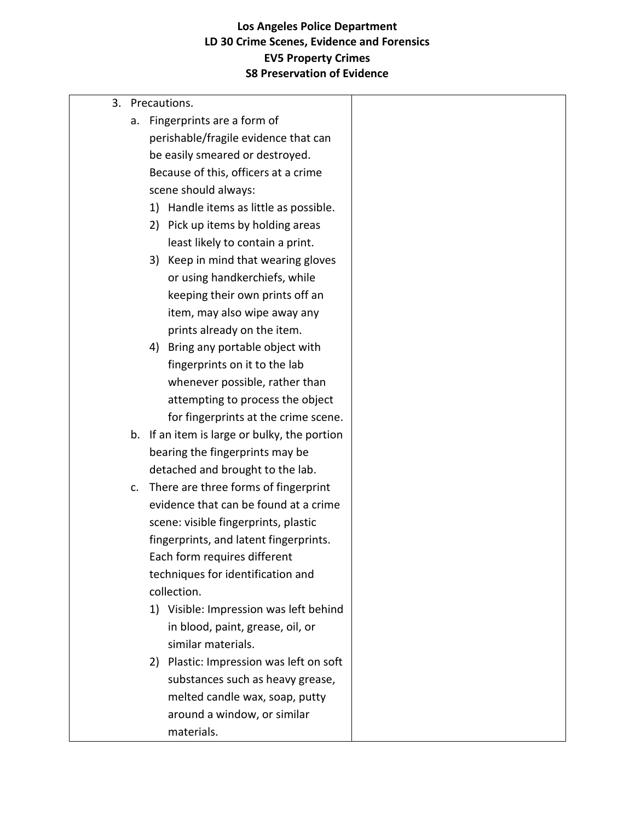|  |    | 3. Precautions.                              |  |
|--|----|----------------------------------------------|--|
|  | a. | Fingerprints are a form of                   |  |
|  |    | perishable/fragile evidence that can         |  |
|  |    | be easily smeared or destroyed.              |  |
|  |    | Because of this, officers at a crime         |  |
|  |    | scene should always:                         |  |
|  |    | Handle items as little as possible.<br>1)    |  |
|  |    | Pick up items by holding areas<br>2)         |  |
|  |    | least likely to contain a print.             |  |
|  |    | 3) Keep in mind that wearing gloves          |  |
|  |    | or using handkerchiefs, while                |  |
|  |    | keeping their own prints off an              |  |
|  |    | item, may also wipe away any                 |  |
|  |    | prints already on the item.                  |  |
|  |    | Bring any portable object with<br>4)         |  |
|  |    | fingerprints on it to the lab                |  |
|  |    | whenever possible, rather than               |  |
|  |    | attempting to process the object             |  |
|  |    | for fingerprints at the crime scene.         |  |
|  |    | b. If an item is large or bulky, the portion |  |
|  |    | bearing the fingerprints may be              |  |
|  |    | detached and brought to the lab.             |  |
|  | c. | There are three forms of fingerprint         |  |
|  |    | evidence that can be found at a crime        |  |
|  |    | scene: visible fingerprints, plastic         |  |
|  |    | fingerprints, and latent fingerprints.       |  |
|  |    | Each form requires different                 |  |
|  |    | techniques for identification and            |  |
|  |    | collection.                                  |  |
|  |    | 1) Visible: Impression was left behind       |  |
|  |    | in blood, paint, grease, oil, or             |  |
|  |    | similar materials.                           |  |
|  |    | 2) Plastic: Impression was left on soft      |  |
|  |    | substances such as heavy grease,             |  |
|  |    | melted candle wax, soap, putty               |  |
|  |    | around a window, or similar                  |  |
|  |    | materials.                                   |  |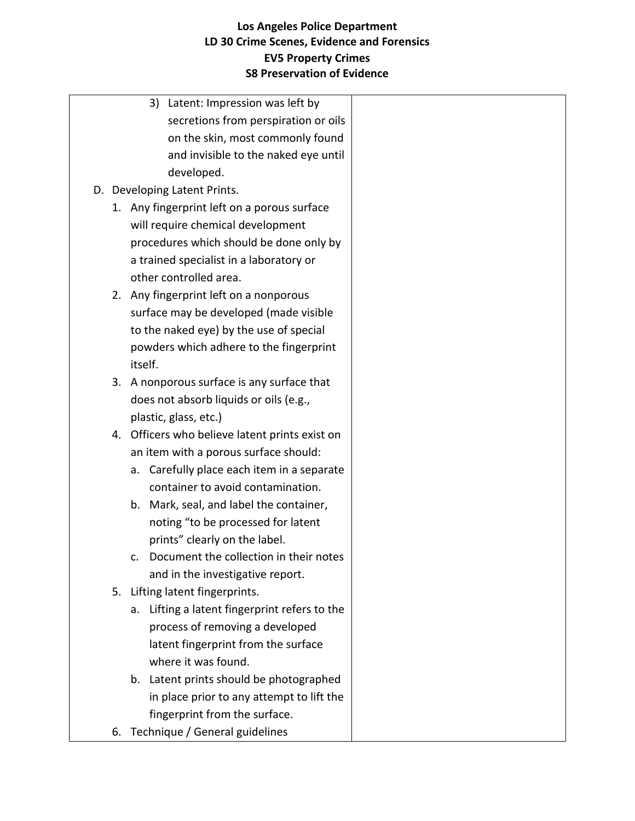|    |         | 3) Latent: Impression was left by              |  |
|----|---------|------------------------------------------------|--|
|    |         | secretions from perspiration or oils           |  |
|    |         | on the skin, most commonly found               |  |
|    |         | and invisible to the naked eye until           |  |
|    |         | developed.                                     |  |
|    |         | D. Developing Latent Prints.                   |  |
|    |         | 1. Any fingerprint left on a porous surface    |  |
|    |         | will require chemical development              |  |
|    |         | procedures which should be done only by        |  |
|    |         | a trained specialist in a laboratory or        |  |
|    |         | other controlled area.                         |  |
|    |         | 2. Any fingerprint left on a nonporous         |  |
|    |         | surface may be developed (made visible         |  |
|    |         | to the naked eye) by the use of special        |  |
|    |         | powders which adhere to the fingerprint        |  |
|    | itself. |                                                |  |
|    |         | 3. A nonporous surface is any surface that     |  |
|    |         | does not absorb liquids or oils (e.g.,         |  |
|    |         | plastic, glass, etc.)                          |  |
|    |         | 4. Officers who believe latent prints exist on |  |
|    |         | an item with a porous surface should:          |  |
|    |         | a. Carefully place each item in a separate     |  |
|    |         | container to avoid contamination.              |  |
|    |         | b. Mark, seal, and label the container,        |  |
|    |         | noting "to be processed for latent             |  |
|    |         | prints" clearly on the label.                  |  |
|    | c.      | Document the collection in their notes         |  |
|    |         | and in the investigative report.               |  |
|    |         | 5. Lifting latent fingerprints.                |  |
|    | a.      | Lifting a latent fingerprint refers to the     |  |
|    |         | process of removing a developed                |  |
|    |         | latent fingerprint from the surface            |  |
|    |         | where it was found.                            |  |
|    |         | b. Latent prints should be photographed        |  |
|    |         | in place prior to any attempt to lift the      |  |
|    |         | fingerprint from the surface.                  |  |
| 6. |         | Technique / General guidelines                 |  |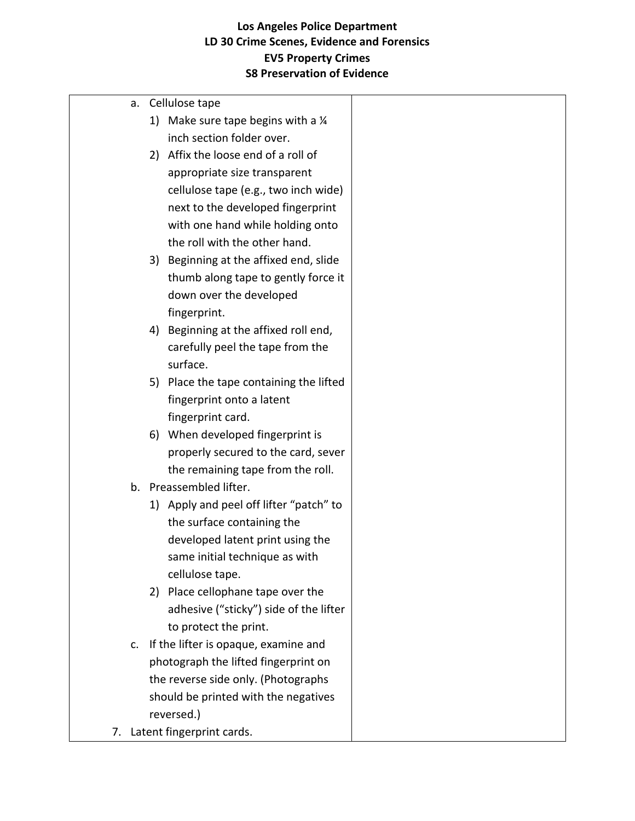| а. |    | Cellulose tape                                |  |
|----|----|-----------------------------------------------|--|
|    |    | 1) Make sure tape begins with a $\frac{1}{4}$ |  |
|    |    | inch section folder over.                     |  |
|    |    | 2) Affix the loose end of a roll of           |  |
|    |    | appropriate size transparent                  |  |
|    |    | cellulose tape (e.g., two inch wide)          |  |
|    |    | next to the developed fingerprint             |  |
|    |    | with one hand while holding onto              |  |
|    |    | the roll with the other hand.                 |  |
|    |    | 3) Beginning at the affixed end, slide        |  |
|    |    | thumb along tape to gently force it           |  |
|    |    | down over the developed                       |  |
|    |    | fingerprint.                                  |  |
|    |    | 4) Beginning at the affixed roll end,         |  |
|    |    | carefully peel the tape from the              |  |
|    |    | surface.                                      |  |
|    |    | 5) Place the tape containing the lifted       |  |
|    |    | fingerprint onto a latent                     |  |
|    |    | fingerprint card.                             |  |
|    | 6) | When developed fingerprint is                 |  |
|    |    | properly secured to the card, sever           |  |
|    |    | the remaining tape from the roll.             |  |
|    |    | b. Preassembled lifter.                       |  |
|    |    | 1) Apply and peel off lifter "patch" to       |  |
|    |    | the surface containing the                    |  |
|    |    | developed latent print using the              |  |
|    |    | same initial technique as with                |  |
|    |    | cellulose tape.                               |  |
|    |    | 2) Place cellophane tape over the             |  |
|    |    | adhesive ("sticky") side of the lifter        |  |
|    |    | to protect the print.                         |  |
| c. |    | If the lifter is opaque, examine and          |  |
|    |    | photograph the lifted fingerprint on          |  |
|    |    | the reverse side only. (Photographs           |  |
|    |    | should be printed with the negatives          |  |
|    |    | reversed.)                                    |  |
|    |    | 7. Latent fingerprint cards.                  |  |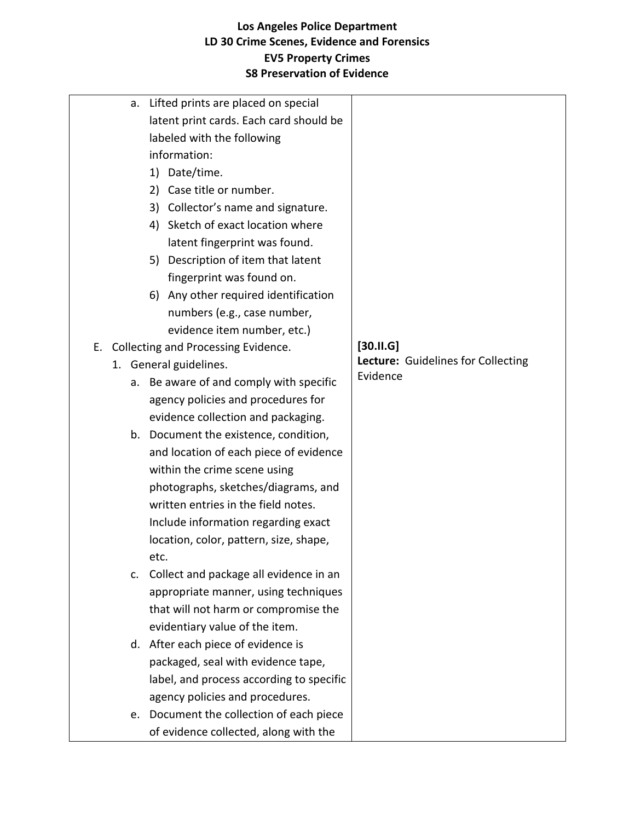| a.             | Lifted prints are placed on special      |                                    |
|----------------|------------------------------------------|------------------------------------|
|                | latent print cards. Each card should be  |                                    |
|                | labeled with the following               |                                    |
|                | information:                             |                                    |
|                | 1) Date/time.                            |                                    |
|                | Case title or number.<br>2)              |                                    |
|                | 3) Collector's name and signature.       |                                    |
|                | 4) Sketch of exact location where        |                                    |
|                | latent fingerprint was found.            |                                    |
|                | 5) Description of item that latent       |                                    |
|                | fingerprint was found on.                |                                    |
|                | 6) Any other required identification     |                                    |
|                | numbers (e.g., case number,              |                                    |
|                | evidence item number, etc.)              |                                    |
|                | E. Collecting and Processing Evidence.   | $[30.11.6]$                        |
| 1.             | General guidelines.                      | Lecture: Guidelines for Collecting |
| а.             | Be aware of and comply with specific     | Evidence                           |
|                | agency policies and procedures for       |                                    |
|                | evidence collection and packaging.       |                                    |
|                | b. Document the existence, condition,    |                                    |
|                | and location of each piece of evidence   |                                    |
|                | within the crime scene using             |                                    |
|                | photographs, sketches/diagrams, and      |                                    |
|                | written entries in the field notes.      |                                    |
|                | Include information regarding exact      |                                    |
|                | location, color, pattern, size, shape,   |                                    |
|                | etc.                                     |                                    |
| $\mathsf{C}$ . | Collect and package all evidence in an   |                                    |
|                | appropriate manner, using techniques     |                                    |
|                | that will not harm or compromise the     |                                    |
|                | evidentiary value of the item.           |                                    |
|                | d. After each piece of evidence is       |                                    |
|                | packaged, seal with evidence tape,       |                                    |
|                | label, and process according to specific |                                    |
|                | agency policies and procedures.          |                                    |
|                | e. Document the collection of each piece |                                    |
|                | of evidence collected, along with the    |                                    |